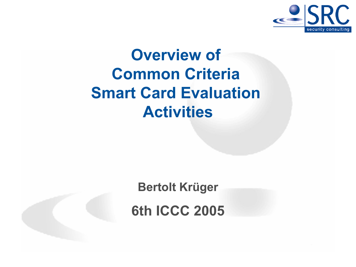

# Overview of Common Criteria Smart Card Evaluation Activities

Bertolt Krüger

6th ICCC 2005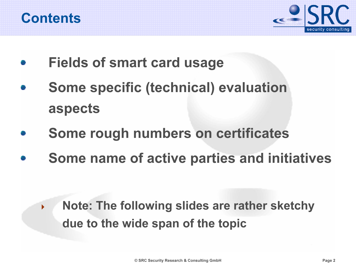



- Fields of smart card usage
- Some specific (technical) evaluation aspects
- Some rough numbers on certificates
- Some name of active parties and initiatives

 $\blacktriangleright$  Note: The following slides are rather sketchy due to the wide span of the topic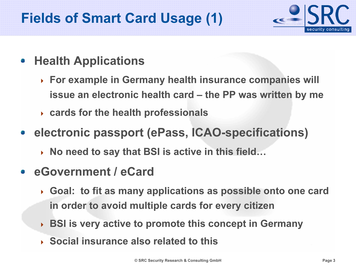## Fields of Smart Card Usage (1)



- Health Applications **SP** 
	- For example in Germany health insurance companies will issue an electronic health card – the PP was written by me
	- cards for the health professionals
- **electronic passport (ePass, ICAO-specifications)** 
	- $\rightarrow$  No need to say that BSI is active in this field...
- eGovernment / eCard
	- Goal: to fit as many applications as possible onto one card in order to avoid multiple cards for every citizen
	- ▶ BSI is very active to promote this concept in Germany
	- ◆ Social insurance also related to this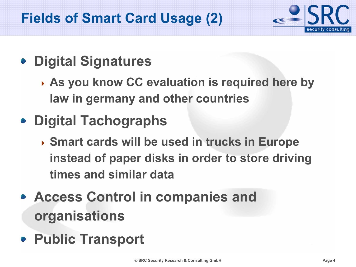## Fields of Smart Card Usage (2)



## **• Digital Signatures**

- ▶ As you know CC evaluation is required here by law in germany and other countries
- Digital Tachographs
	- ▶ Smart cards will be used in trucks in Europe instead of paper disks in order to store driving times and similar data
- Access Control in companies and organisations
- Public Transport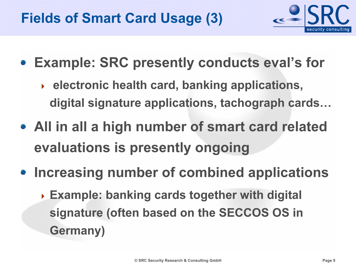

- Example: SRC presently conducts eval's for
	- $\rightarrow$  electronic health card, banking applications, digital signature applications, tachograph cards…
- All in all a high number of smart card related evaluations is presently ongoing
- Increasing number of combined applications
	- ▶ Example: banking cards together with digital signature (often based on the SECCOS OS in Germany)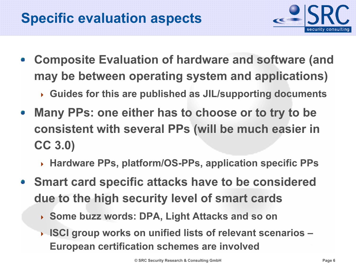

- Composite Evaluation of hardware and software (and may be between operating system and applications)
	- Guides for this are published as JIL/supporting documents
- Many PPs: one either has to choose or to try to be  $\mathcal{L}$ consistent with several PPs (will be much easier in CC 3.0)
	- Hardware PPs, platform/OS-PPs, application specific PPs
- Smart card specific attacks have to be considered due to the high security level of smart cards
	- Some buzz words: DPA, Light Attacks and so on
	- ▶ ISCI group works on unified lists of relevant scenarios -European certification schemes are involved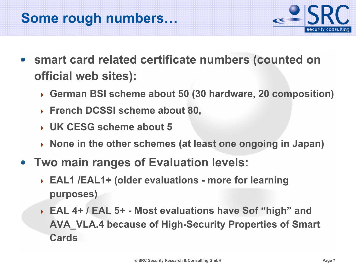### Some rough numbers…



- smart card related certificate numbers (counted on official web sites):
	- German BSI scheme about 50 (30 hardware, 20 composition)
	- French DCSSI scheme about 80,
	- UK CESG scheme about 5
	- None in the other schemes (at least one ongoing in Japan)
- Two main ranges of Evaluation levels:
	- ▶ EAL1 /EAL1+ (older evaluations more for learning purposes)
	- EAL 4+ / EAL 5+ Most evaluations have Sof "high" and AVA\_VLA.4 because of High-Security Properties of Smart Cards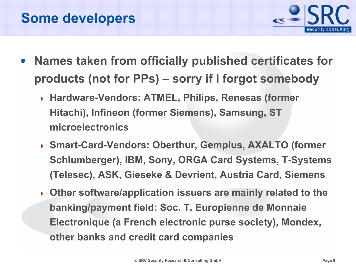

- Names taken from officially published certificates for products (not for PPs) – sorry if I forgot somebody
	- Hardware-Vendors: ATMEL, Philips, Renesas (former Hitachi), Infineon (former Siemens), Samsung, ST microelectronics
	- Smart-Card-Vendors: Oberthur, Gemplus, AXALTO (former Schlumberger), IBM, Sony, ORGA Card Systems, T-Systems (Telesec), ASK, Gieseke & Devrient, Austria Card, Siemens
	- Other software/application issuers are mainly related to the banking/payment field: Soc. T. Europienne de Monnaie Electronique (a French electronic purse society), Mondex, other banks and credit card companies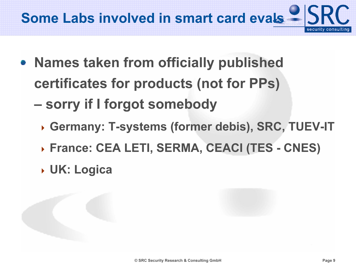

- Names taken from officially published certificates for products (not for PPs)
	- – sorry if I forgot somebody
		- Germany: T-systems (former debis), SRC, TUEV-IT
		- France: CEA LETI, SERMA, CEACI (TES CNES)
		- UK: Logica

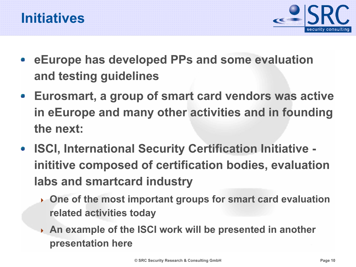



- eEurope has developed PPs and some evaluation and testing guidelines
- Eurosmart, a group of smart card vendors was active in eEurope and many other activities and in founding the next:
- ISCI, International Security Certification Initiative inititive composed of certification bodies, evaluation labs and smartcard industry
	- ▸ One of the most important groups for smart card evaluation related activities today
	- An example of the ISCI work will be presented in another presentation here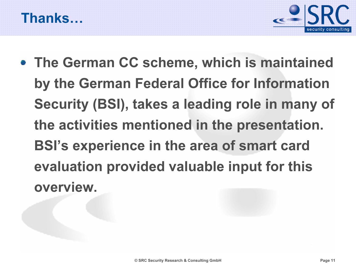



• The German CC scheme, which is maintained by the German Federal Office for Information Security (BSI), takes a leading role in many of the activities mentioned in the presentation. BSI's experience in the area of smart card evaluation provided valuable input for this overview.